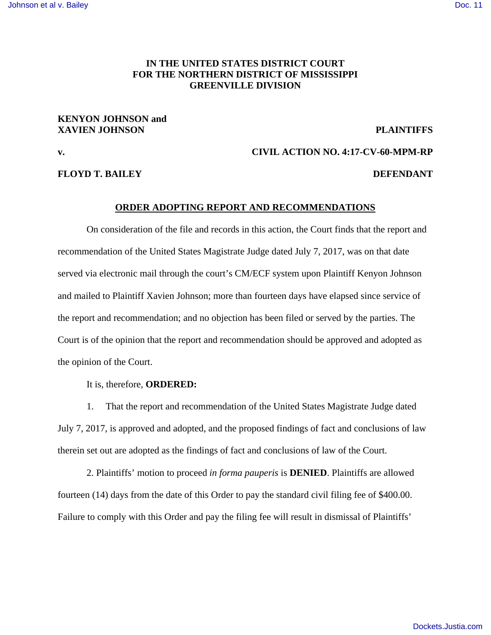## **IN THE UNITED STATES DISTRICT COURT FOR THE NORTHERN DISTRICT OF MISSISSIPPI GREENVILLE DIVISION**

## **KENYON JOHNSON and XAVIEN JOHNSON PLAINTIFFS**

**FLOYD T. BAILEY DEFENDANT** 

# **v. CIVIL ACTION NO. 4:17-CV-60-MPM-RP**

## **ORDER ADOPTING REPORT AND RECOMMENDATIONS**

On consideration of the file and records in this action, the Court finds that the report and recommendation of the United States Magistrate Judge dated July 7, 2017, was on that date served via electronic mail through the court's CM/ECF system upon Plaintiff Kenyon Johnson and mailed to Plaintiff Xavien Johnson; more than fourteen days have elapsed since service of the report and recommendation; and no objection has been filed or served by the parties. The Court is of the opinion that the report and recommendation should be approved and adopted as the opinion of the Court.

It is, therefore, **ORDERED:** 

 1. That the report and recommendation of the United States Magistrate Judge dated July 7, 2017, is approved and adopted, and the proposed findings of fact and conclusions of law therein set out are adopted as the findings of fact and conclusions of law of the Court.

 2. Plaintiffs' motion to proceed *in forma pauperis* is **DENIED**. Plaintiffs are allowed fourteen (14) days from the date of this Order to pay the standard civil filing fee of \$400.00. Failure to comply with this Order and pay the filing fee will result in dismissal of Plaintiffs'